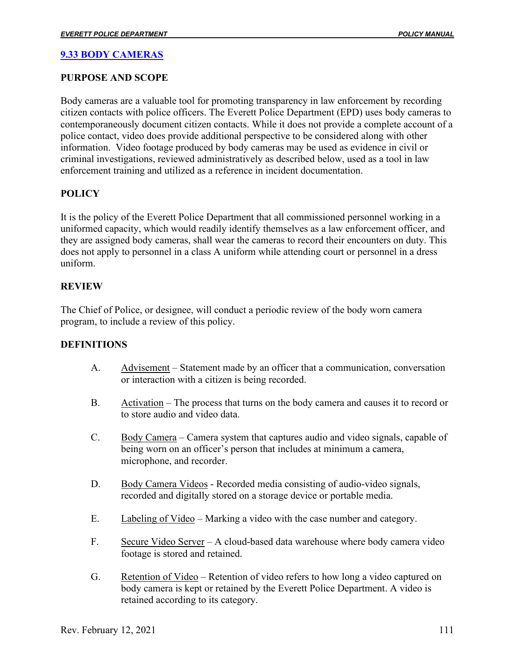# **9.33 BODY CAMERAS**

# **PURPOSE AND SCOPE**

Body cameras are a valuable tool for promoting transparency in law enforcement by recording citizen contacts with police officers. The Everett Police Department (EPD) uses body cameras to contemporaneously document citizen contacts. While it does not provide a complete account of a police contact, video does provide additional perspective to be considered along with other information. Video footage produced by body cameras may be used as evidence in civil or criminal investigations, reviewed administratively as described below, used as a tool in law enforcement training and utilized as a reference in incident documentation.

# **POLICY**

It is the policy of the Everett Police Department that all commissioned personnel working in a uniformed capacity, which would readily identify themselves as a law enforcement officer, and they are assigned body cameras, shall wear the cameras to record their encounters on duty. This does not apply to personnel in a class A uniform while attending court or personnel in a dress uniform.

# **REVIEW**

The Chief of Police, or designee, will conduct a periodic review of the body worn camera program, to include a review of this policy.

# **DEFINITIONS**

- A. Advisement Statement made by an officer that a communication, conversation or interaction with a citizen is being recorded.
- B. Activation The process that turns on the body camera and causes it to record or to store audio and video data.
- C. Body Camera Camera system that captures audio and video signals, capable of being worn on an officer's person that includes at minimum a camera, microphone, and recorder.
- D. Body Camera Videos Recorded media consisting of audio-video signals, recorded and digitally stored on a storage device or portable media.
- E. Labeling of Video Marking a video with the case number and category.
- F. Secure Video Server A cloud-based data warehouse where body camera video footage is stored and retained.
- G. Retention of Video Retention of video refers to how long a video captured on body camera is kept or retained by the Everett Police Department. A video is retained according to its category.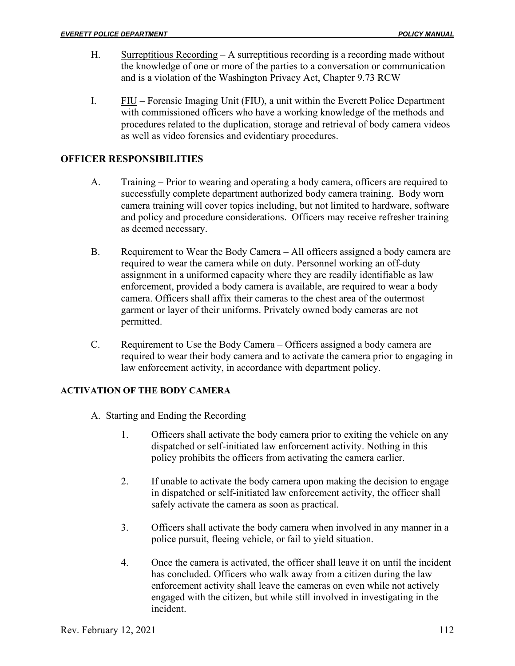- H. Surreptitious Recording A surreptitious recording is a recording made without the knowledge of one or more of the parties to a conversation or communication and is a violation of the Washington Privacy Act, Chapter 9.73 RCW
- I. FIU Forensic Imaging Unit (FIU), a unit within the Everett Police Department with commissioned officers who have a working knowledge of the methods and procedures related to the duplication, storage and retrieval of body camera videos as well as video forensics and evidentiary procedures.

# **OFFICER RESPONSIBILITIES**

- A. Training Prior to wearing and operating a body camera, officers are required to successfully complete department authorized body camera training. Body worn camera training will cover topics including, but not limited to hardware, software and policy and procedure considerations. Officers may receive refresher training as deemed necessary.
- B. Requirement to Wear the Body Camera All officers assigned a body camera are required to wear the camera while on duty. Personnel working an off-duty assignment in a uniformed capacity where they are readily identifiable as law enforcement, provided a body camera is available, are required to wear a body camera. Officers shall affix their cameras to the chest area of the outermost garment or layer of their uniforms. Privately owned body cameras are not permitted.
- C. Requirement to Use the Body Camera Officers assigned a body camera are required to wear their body camera and to activate the camera prior to engaging in law enforcement activity, in accordance with department policy.

#### **ACTIVATION OF THE BODY CAMERA**

- A. Starting and Ending the Recording
	- 1. Officers shall activate the body camera prior to exiting the vehicle on any dispatched or self-initiated law enforcement activity. Nothing in this policy prohibits the officers from activating the camera earlier.
	- 2. If unable to activate the body camera upon making the decision to engage in dispatched or self-initiated law enforcement activity, the officer shall safely activate the camera as soon as practical.
	- 3. Officers shall activate the body camera when involved in any manner in a police pursuit, fleeing vehicle, or fail to yield situation.
	- 4. Once the camera is activated, the officer shall leave it on until the incident has concluded. Officers who walk away from a citizen during the law enforcement activity shall leave the cameras on even while not actively engaged with the citizen, but while still involved in investigating in the incident.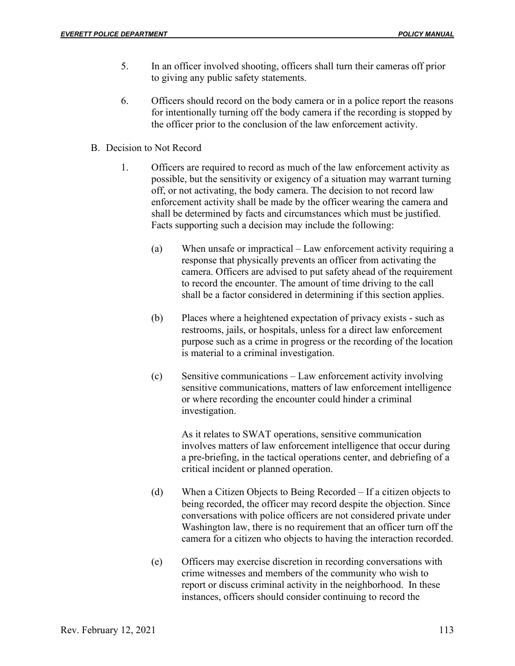- 5. In an officer involved shooting, officers shall turn their cameras off prior to giving any public safety statements.
- 6. Officers should record on the body camera or in a police report the reasons for intentionally turning off the body camera if the recording is stopped by the officer prior to the conclusion of the law enforcement activity.
- B. Decision to Not Record
	- 1. Officers are required to record as much of the law enforcement activity as possible, but the sensitivity or exigency of a situation may warrant turning off, or not activating, the body camera. The decision to not record law enforcement activity shall be made by the officer wearing the camera and shall be determined by facts and circumstances which must be justified. Facts supporting such a decision may include the following:
		- (a) When unsafe or impractical Law enforcement activity requiring a response that physically prevents an officer from activating the camera. Officers are advised to put safety ahead of the requirement to record the encounter. The amount of time driving to the call shall be a factor considered in determining if this section applies.
		- (b) Places where a heightened expectation of privacy exists such as restrooms, jails, or hospitals, unless for a direct law enforcement purpose such as a crime in progress or the recording of the location is material to a criminal investigation.
		- (c) Sensitive communications Law enforcement activity involving sensitive communications, matters of law enforcement intelligence or where recording the encounter could hinder a criminal investigation.

As it relates to SWAT operations, sensitive communication involves matters of law enforcement intelligence that occur during a pre-briefing, in the tactical operations center, and debriefing of a critical incident or planned operation.

- (d) When a Citizen Objects to Being Recorded If a citizen objects to being recorded, the officer may record despite the objection. Since conversations with police officers are not considered private under Washington law, there is no requirement that an officer turn off the camera for a citizen who objects to having the interaction recorded.
- (e) Officers may exercise discretion in recording conversations with crime witnesses and members of the community who wish to report or discuss criminal activity in the neighborhood. In these instances, officers should consider continuing to record the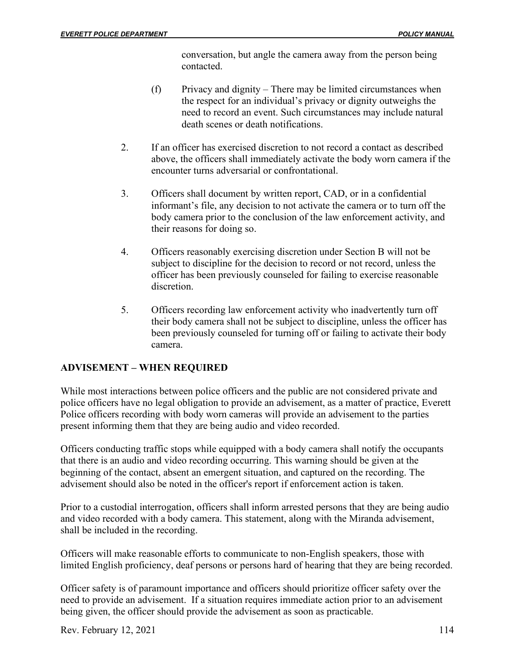conversation, but angle the camera away from the person being contacted.

- (f) Privacy and dignity There may be limited circumstances when the respect for an individual's privacy or dignity outweighs the need to record an event. Such circumstances may include natural death scenes or death notifications.
- 2. If an officer has exercised discretion to not record a contact as described above, the officers shall immediately activate the body worn camera if the encounter turns adversarial or confrontational.
- 3. Officers shall document by written report, CAD, or in a confidential informant's file, any decision to not activate the camera or to turn off the body camera prior to the conclusion of the law enforcement activity, and their reasons for doing so.
- 4. Officers reasonably exercising discretion under Section B will not be subject to discipline for the decision to record or not record, unless the officer has been previously counseled for failing to exercise reasonable discretion.
- 5. Officers recording law enforcement activity who inadvertently turn off their body camera shall not be subject to discipline, unless the officer has been previously counseled for turning off or failing to activate their body camera.

# **ADVISEMENT – WHEN REQUIRED**

While most interactions between police officers and the public are not considered private and police officers have no legal obligation to provide an advisement, as a matter of practice, Everett Police officers recording with body worn cameras will provide an advisement to the parties present informing them that they are being audio and video recorded.

Officers conducting traffic stops while equipped with a body camera shall notify the occupants that there is an audio and video recording occurring. This warning should be given at the beginning of the contact, absent an emergent situation, and captured on the recording. The advisement should also be noted in the officer's report if enforcement action is taken.

Prior to a custodial interrogation, officers shall inform arrested persons that they are being audio and video recorded with a body camera. This statement, along with the Miranda advisement, shall be included in the recording.

Officers will make reasonable efforts to communicate to non-English speakers, those with limited English proficiency, deaf persons or persons hard of hearing that they are being recorded.

Officer safety is of paramount importance and officers should prioritize officer safety over the need to provide an advisement. If a situation requires immediate action prior to an advisement being given, the officer should provide the advisement as soon as practicable.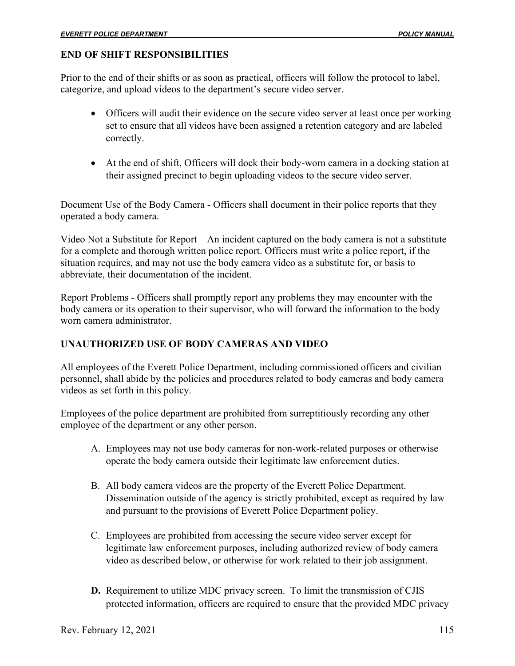### **END OF SHIFT RESPONSIBILITIES**

Prior to the end of their shifts or as soon as practical, officers will follow the protocol to label, categorize, and upload videos to the department's secure video server.

- Officers will audit their evidence on the secure video server at least once per working set to ensure that all videos have been assigned a retention category and are labeled correctly.
- At the end of shift, Officers will dock their body-worn camera in a docking station at their assigned precinct to begin uploading videos to the secure video server.

Document Use of the Body Camera - Officers shall document in their police reports that they operated a body camera.

Video Not a Substitute for Report – An incident captured on the body camera is not a substitute for a complete and thorough written police report. Officers must write a police report, if the situation requires, and may not use the body camera video as a substitute for, or basis to abbreviate, their documentation of the incident.

Report Problems - Officers shall promptly report any problems they may encounter with the body camera or its operation to their supervisor, who will forward the information to the body worn camera administrator.

# **UNAUTHORIZED USE OF BODY CAMERAS AND VIDEO**

All employees of the Everett Police Department, including commissioned officers and civilian personnel, shall abide by the policies and procedures related to body cameras and body camera videos as set forth in this policy.

Employees of the police department are prohibited from surreptitiously recording any other employee of the department or any other person.

- A. Employees may not use body cameras for non-work-related purposes or otherwise operate the body camera outside their legitimate law enforcement duties.
- B. All body camera videos are the property of the Everett Police Department. Dissemination outside of the agency is strictly prohibited, except as required by law and pursuant to the provisions of Everett Police Department policy.
- C. Employees are prohibited from accessing the secure video server except for legitimate law enforcement purposes, including authorized review of body camera video as described below, or otherwise for work related to their job assignment.
- **D.** Requirement to utilize MDC privacy screen. To limit the transmission of CJIS protected information, officers are required to ensure that the provided MDC privacy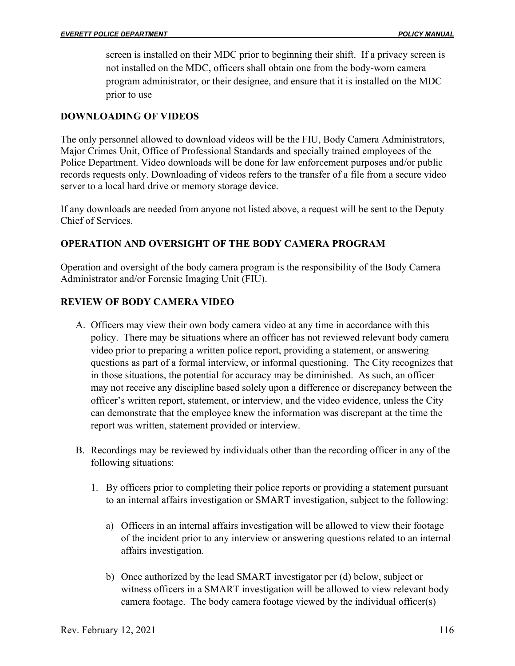screen is installed on their MDC prior to beginning their shift. If a privacy screen is not installed on the MDC, officers shall obtain one from the body-worn camera program administrator, or their designee, and ensure that it is installed on the MDC prior to use

# **DOWNLOADING OF VIDEOS**

The only personnel allowed to download videos will be the FIU, Body Camera Administrators, Major Crimes Unit, Office of Professional Standards and specially trained employees of the Police Department. Video downloads will be done for law enforcement purposes and/or public records requests only. Downloading of videos refers to the transfer of a file from a secure video server to a local hard drive or memory storage device.

If any downloads are needed from anyone not listed above, a request will be sent to the Deputy Chief of Services.

# **OPERATION AND OVERSIGHT OF THE BODY CAMERA PROGRAM**

Operation and oversight of the body camera program is the responsibility of the Body Camera Administrator and/or Forensic Imaging Unit (FIU).

# **REVIEW OF BODY CAMERA VIDEO**

- A. Officers may view their own body camera video at any time in accordance with this policy. There may be situations where an officer has not reviewed relevant body camera video prior to preparing a written police report, providing a statement, or answering questions as part of a formal interview, or informal questioning. The City recognizes that in those situations, the potential for accuracy may be diminished. As such, an officer may not receive any discipline based solely upon a difference or discrepancy between the officer's written report, statement, or interview, and the video evidence, unless the City can demonstrate that the employee knew the information was discrepant at the time the report was written, statement provided or interview.
- B. Recordings may be reviewed by individuals other than the recording officer in any of the following situations:
	- 1. By officers prior to completing their police reports or providing a statement pursuant to an internal affairs investigation or SMART investigation, subject to the following:
		- a) Officers in an internal affairs investigation will be allowed to view their footage of the incident prior to any interview or answering questions related to an internal affairs investigation.
		- b) Once authorized by the lead SMART investigator per (d) below, subject or witness officers in a SMART investigation will be allowed to view relevant body camera footage. The body camera footage viewed by the individual officer(s)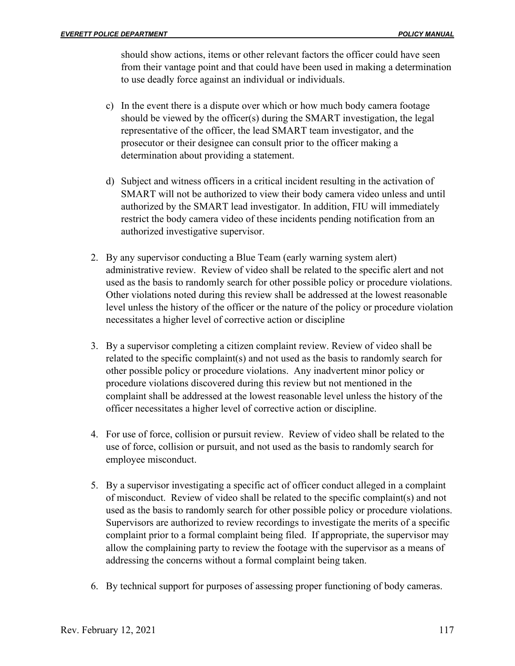should show actions, items or other relevant factors the officer could have seen from their vantage point and that could have been used in making a determination to use deadly force against an individual or individuals.

- c) In the event there is a dispute over which or how much body camera footage should be viewed by the officer(s) during the SMART investigation, the legal representative of the officer, the lead SMART team investigator, and the prosecutor or their designee can consult prior to the officer making a determination about providing a statement.
- d) Subject and witness officers in a critical incident resulting in the activation of SMART will not be authorized to view their body camera video unless and until authorized by the SMART lead investigator. In addition, FIU will immediately restrict the body camera video of these incidents pending notification from an authorized investigative supervisor.
- 2. By any supervisor conducting a Blue Team (early warning system alert) administrative review. Review of video shall be related to the specific alert and not used as the basis to randomly search for other possible policy or procedure violations. Other violations noted during this review shall be addressed at the lowest reasonable level unless the history of the officer or the nature of the policy or procedure violation necessitates a higher level of corrective action or discipline
- 3. By a supervisor completing a citizen complaint review. Review of video shall be related to the specific complaint(s) and not used as the basis to randomly search for other possible policy or procedure violations. Any inadvertent minor policy or procedure violations discovered during this review but not mentioned in the complaint shall be addressed at the lowest reasonable level unless the history of the officer necessitates a higher level of corrective action or discipline.
- 4. For use of force, collision or pursuit review. Review of video shall be related to the use of force, collision or pursuit, and not used as the basis to randomly search for employee misconduct.
- 5. By a supervisor investigating a specific act of officer conduct alleged in a complaint of misconduct. Review of video shall be related to the specific complaint(s) and not used as the basis to randomly search for other possible policy or procedure violations. Supervisors are authorized to review recordings to investigate the merits of a specific complaint prior to a formal complaint being filed. If appropriate, the supervisor may allow the complaining party to review the footage with the supervisor as a means of addressing the concerns without a formal complaint being taken.
- 6. By technical support for purposes of assessing proper functioning of body cameras.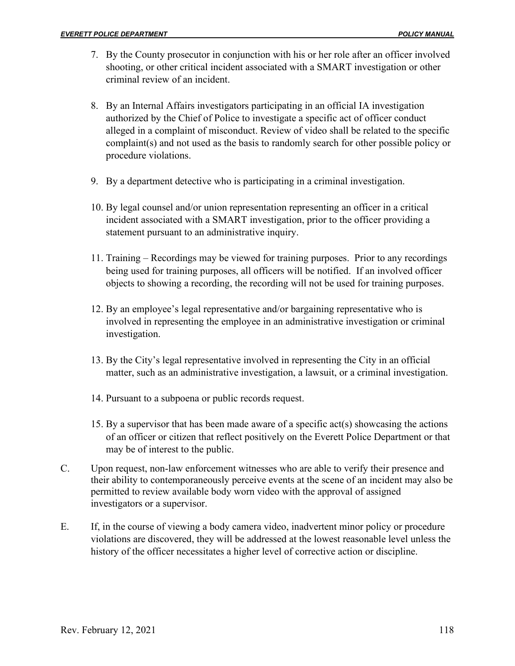- 7. By the County prosecutor in conjunction with his or her role after an officer involved shooting, or other critical incident associated with a SMART investigation or other criminal review of an incident.
- 8. By an Internal Affairs investigators participating in an official IA investigation authorized by the Chief of Police to investigate a specific act of officer conduct alleged in a complaint of misconduct. Review of video shall be related to the specific complaint(s) and not used as the basis to randomly search for other possible policy or procedure violations.
- 9. By a department detective who is participating in a criminal investigation.
- 10. By legal counsel and/or union representation representing an officer in a critical incident associated with a SMART investigation, prior to the officer providing a statement pursuant to an administrative inquiry.
- 11. Training Recordings may be viewed for training purposes. Prior to any recordings being used for training purposes, all officers will be notified. If an involved officer objects to showing a recording, the recording will not be used for training purposes.
- 12. By an employee's legal representative and/or bargaining representative who is involved in representing the employee in an administrative investigation or criminal investigation.
- 13. By the City's legal representative involved in representing the City in an official matter, such as an administrative investigation, a lawsuit, or a criminal investigation.
- 14. Pursuant to a subpoena or public records request.
- 15. By a supervisor that has been made aware of a specific act(s) showcasing the actions of an officer or citizen that reflect positively on the Everett Police Department or that may be of interest to the public.
- C. Upon request, non-law enforcement witnesses who are able to verify their presence and their ability to contemporaneously perceive events at the scene of an incident may also be permitted to review available body worn video with the approval of assigned investigators or a supervisor.
- E. If, in the course of viewing a body camera video, inadvertent minor policy or procedure violations are discovered, they will be addressed at the lowest reasonable level unless the history of the officer necessitates a higher level of corrective action or discipline.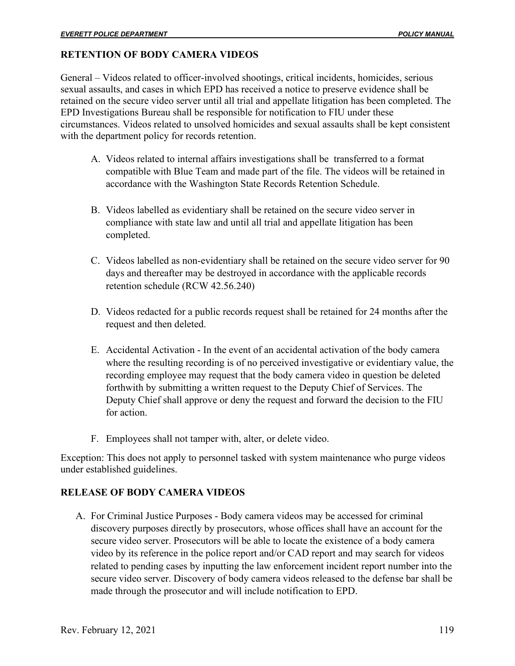# **RETENTION OF BODY CAMERA VIDEOS**

General – Videos related to officer-involved shootings, critical incidents, homicides, serious sexual assaults, and cases in which EPD has received a notice to preserve evidence shall be retained on the secure video server until all trial and appellate litigation has been completed. The EPD Investigations Bureau shall be responsible for notification to FIU under these circumstances. Videos related to unsolved homicides and sexual assaults shall be kept consistent with the department policy for records retention.

- A. Videos related to internal affairs investigations shall be transferred to a format compatible with Blue Team and made part of the file. The videos will be retained in accordance with the Washington State Records Retention Schedule.
- B. Videos labelled as evidentiary shall be retained on the secure video server in compliance with state law and until all trial and appellate litigation has been completed.
- C. Videos labelled as non-evidentiary shall be retained on the secure video server for 90 days and thereafter may be destroyed in accordance with the applicable records retention schedule (RCW 42.56.240)
- D. Videos redacted for a public records request shall be retained for 24 months after the request and then deleted.
- E. Accidental Activation In the event of an accidental activation of the body camera where the resulting recording is of no perceived investigative or evidentiary value, the recording employee may request that the body camera video in question be deleted forthwith by submitting a written request to the Deputy Chief of Services. The Deputy Chief shall approve or deny the request and forward the decision to the FIU for action.
- F. Employees shall not tamper with, alter, or delete video.

Exception: This does not apply to personnel tasked with system maintenance who purge videos under established guidelines.

# **RELEASE OF BODY CAMERA VIDEOS**

A. For Criminal Justice Purposes - Body camera videos may be accessed for criminal discovery purposes directly by prosecutors, whose offices shall have an account for the secure video server. Prosecutors will be able to locate the existence of a body camera video by its reference in the police report and/or CAD report and may search for videos related to pending cases by inputting the law enforcement incident report number into the secure video server. Discovery of body camera videos released to the defense bar shall be made through the prosecutor and will include notification to EPD.